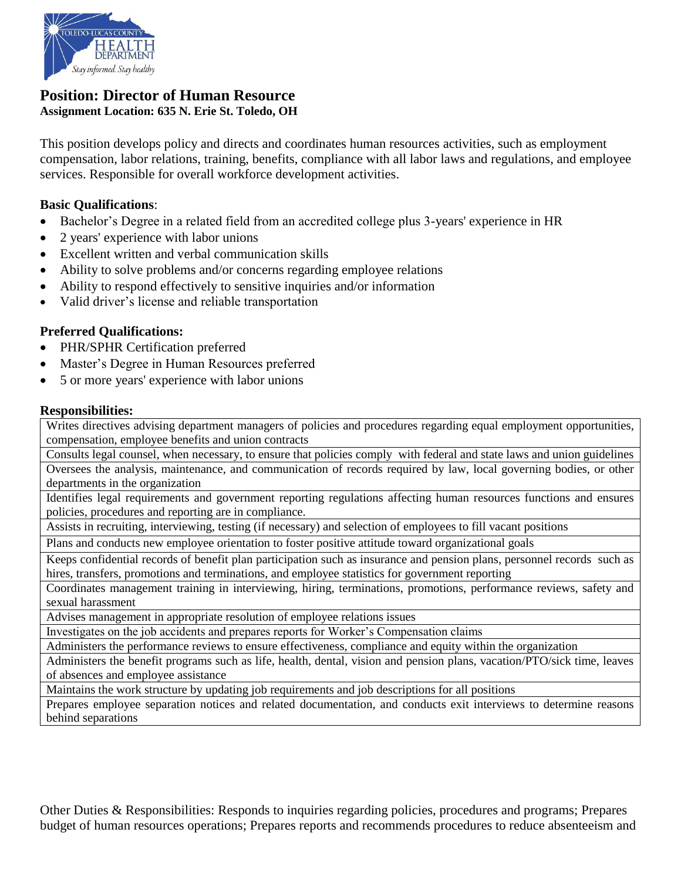

#### **Position: Director of Human Resource Assignment Location: 635 N. Erie St. Toledo, OH**

This position develops policy and directs and coordinates human resources activities, such as employment compensation, labor relations, training, benefits, compliance with all labor laws and regulations, and employee services. Responsible for overall workforce development activities.

## **Basic Qualifications**:

- Bachelor's Degree in a related field from an accredited college plus 3-years' experience in HR
- 2 years' experience with labor unions
- Excellent written and verbal communication skills
- Ability to solve problems and/or concerns regarding employee relations
- Ability to respond effectively to sensitive inquiries and/or information
- Valid driver's license and reliable transportation

### **Preferred Qualifications:**

- PHR/SPHR Certification preferred
- Master's Degree in Human Resources preferred
- 5 or more years' experience with labor unions

#### **Responsibilities:**

Writes directives advising department managers of policies and procedures regarding equal employment opportunities, compensation, employee benefits and union contracts

Consults legal counsel, when necessary, to ensure that policies comply with federal and state laws and union guidelines Oversees the analysis, maintenance, and communication of records required by law, local governing bodies, or other departments in the organization

Identifies legal requirements and government reporting regulations affecting human resources functions and ensures policies, procedures and reporting are in compliance.

Assists in recruiting, interviewing, testing (if necessary) and selection of employees to fill vacant positions

Plans and conducts new employee orientation to foster positive attitude toward organizational goals

Keeps confidential records of benefit plan participation such as insurance and pension plans, personnel records such as hires, transfers, promotions and terminations, and employee statistics for government reporting

Coordinates management training in interviewing, hiring, terminations, promotions, performance reviews, safety and sexual harassment

Advises management in appropriate resolution of employee relations issues

Investigates on the job accidents and prepares reports for Worker's Compensation claims

Administers the performance reviews to ensure effectiveness, compliance and equity within the organization

Administers the benefit programs such as life, health, dental, vision and pension plans, vacation/PTO/sick time, leaves of absences and employee assistance

Maintains the work structure by updating job requirements and job descriptions for all positions

Prepares employee separation notices and related documentation, and conducts exit interviews to determine reasons behind separations

Other Duties & Responsibilities: Responds to inquiries regarding policies, procedures and programs; Prepares budget of human resources operations; Prepares reports and recommends procedures to reduce absenteeism and